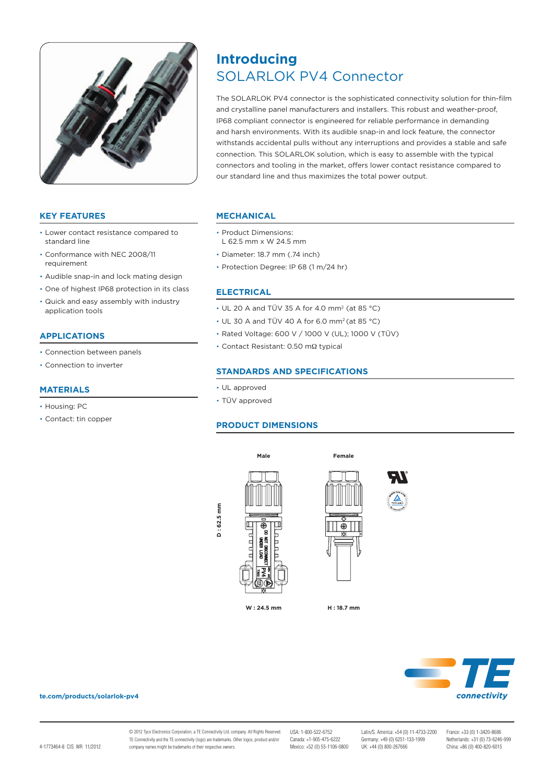

# **KEY FEATURES**

- • Lower contact resistance compared to standard line
- • Conformance with NEC 2008/11 requirement
- • Audible snap-in and lock mating design
- One of highest IP68 protection in its class
- • Quick and easy assembly with industry application tools

## **APPLICATIONS**

- • Connection between panels
- • Connection to inverter

# **MATERIALS**

- Housing: PC
- • Contact: tin copper

# SOLARLOK PV4 Connector **Introducing**

The SOLARLOK PV4 connector is the sophisticated connectivity solution for thin-film and crystalline panel manufacturers and installers. This robust and weather-proof, IP68 compliant connector is engineered for reliable performance in demanding and harsh environments. With its audible snap-in and lock feature, the connector withstands accidental pulls without any interruptions and provides a stable and safe connection. This SOLARLOK solution, which is easy to assemble with the typical connectors and tooling in the market, offers lower contact resistance compared to our standard line and thus maximizes the total power output.

## **MECHANICAL**

- • Product Dimensions: L 62.5 mm x W 24.5 mm
- • Diameter: 18.7 mm (.74 inch)
- Protection Degree: IP 68 (1 m/24 hr)

## **Electrical**

- $\cdot$  UL 20 A and TÜV 35 A for 4.0 mm<sup>2</sup> (at 85 °C)
- • UL 30 A and TÜV 40 A for 6.0 mm2 (at 85 °C)
- • Rated Voltage: 600 V / 1000 V (UL); 1000 V (TÜV)
- • Contact Resistant: 0.50 mΩ typical

# **STANDARDS AND SPECIFICATIONS**

- • UL approved
- • TÜV approved

# **PRODUCT dimensionS**







#### **te.com/products/solarlok-pv4**

© 2012 Tyco Electronics Corporation, a TE Connectivity Ltd. company. All Rights Reserved. TE Connectivity and the TE connectivity (logo) are trademarks. Other logos, product and/or company names might be trademarks of their respective owners.

Mexico: +52 (0) 55-1106-0800

**H : 18.7 mm**

USA: 1-800-522-6752 Latin/S. America: +54 (0) 11-4733-2200 France: +33 (0) 1-3420-8686 Canada: +149 (0) 6251-133-1999<br>
Canada: +31 (0) 73-6246<br>
UK: +44 (0) 800-267666<br>
China: +86 (0) 400-820-6015